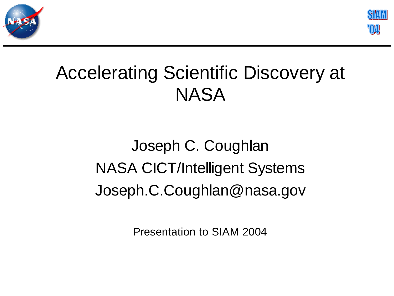



# Accelerating Scientific Discovery at **NASA**

# Joseph C. Coughlan NASA CICT/Intelligent Systems Joseph.C.Coughlan@nasa.gov

Presentation to SIAM 2004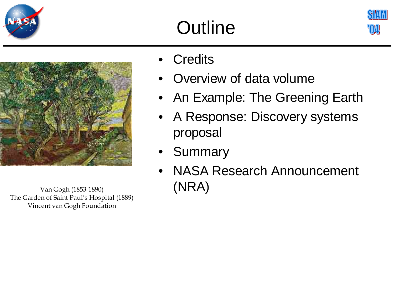

# **Outline**





Van Gogh (1853-1890) (NRA) The Garden of Saint Paul's Hospital (1889) Vincent van Gogh Foundation

- **Credits**
- Overview of data volume
- An Example: The Greening Earth
- A Response: Discovery systems proposal
- **Summary**
- NASA Research Announcement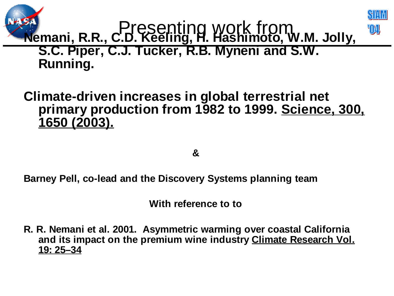

### **Climate-driven increases in global terrestrial net primary production from 1982 to 1999. Science, 300, 1650 (2003).**

**&**

**Barney Pell, co-lead and the Discovery Systems planning team**

**With reference to to**

**R. R. Nemani et al. 2001. Asymmetric warming over coastal California and its impact on the premium wine industry Climate Research Vol. 19: 25–34**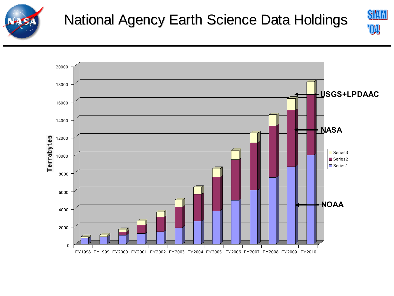



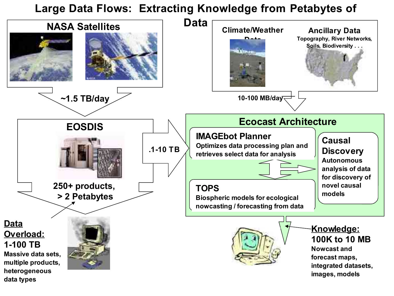### **Large Data Flows: Extracting Knowledge from Petabytes of**

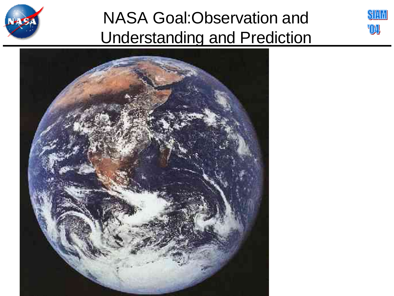

# NASA Goal:Observation and Understanding and Prediction



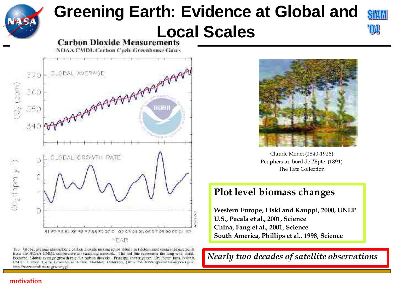

### **Greening Earth: Evidence at Global and** SIAM **Local Scales** 114

**NOAA CMDL Carbon Cycle Greenhouse Gases** 



Top 3 Hobal average atmospheric parties, though mixing retion (thue line) determined essign neasure results from the NUAA UMDL cooperative air sumpling necwork. The red line represents the long serv, transl. Bookers; Global average growth rate for rathon dioxide. Principal investigator: Dr. Peter Tans, NOAA, CMID I trier Less fromtiver Laws Tender Colorido, LBC) 29-670 (puderioriginalism http://www.com/there.org/



Claude Monet (1840-1926) Peupliers au bord de l'Epte (1891) The Tate Collection

### **Plot level biomass changes**

**Western Europe, Liski and Kauppi, 2000, UNEP U.S., Pacala et al., 2001, Science China, Fang et al., 2001, Science South America, Phillips et al., 1998, Science**

*Nearly two decades of satellite observations*

#### **motivation**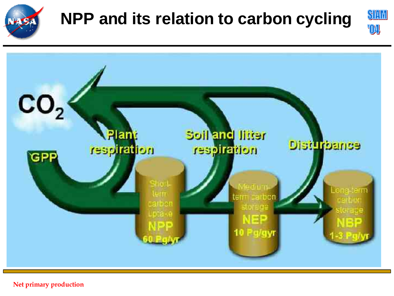

# **NPP and its relation to carbon cycling**





**Net primary production**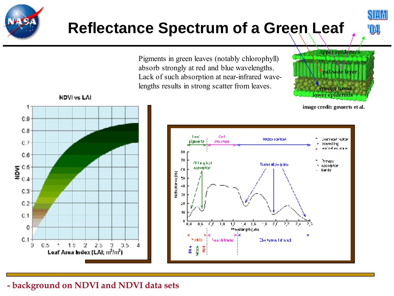

# **Reflectance Spectrum of a Green Leaf**



Pigments in green leaves (notably chlorophyll) absorb strongly at red and blue wavelengths. Lack of such absorption at near-infrared wavelengths results in strong scatter from leaves.



**image credit: govaerts et al.**





#### **- background on NDVI and NDVI data sets**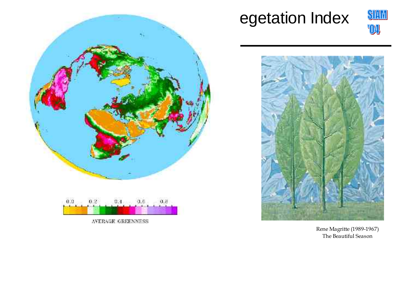

 $0.4.$  $0.8$  $0.2^{\circ}$  $0.8$ 0.0

**AVERAGE GREENNESS** 

# egetation Index





Rene Magritte (1989-1967) The Beautiful Season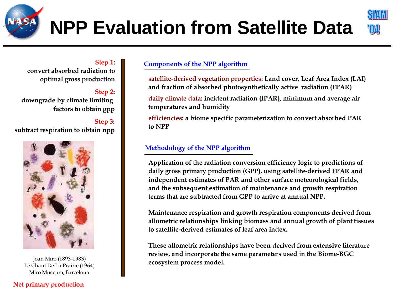



#### **Step 1:**

**convert absorbed radiation to optimal gross production**

#### **Step 2:**

**downgrade by climate limiting factors to obtain gpp**

#### **Step 3:**

**subtract respiration to obtain npp**



Joan Miro (1893-1983) Le Chant De La Prairie (1964) Miro Museum, Barcelona

#### **Net primary production**

#### **Components of the NPP algorithm**

**satellite-derived vegetation properties: Land cover, Leaf Area Index (LAI) and fraction of absorbed photosynthetically active radiation (FPAR)**

**daily climate data: incident radiation (IPAR), minimum and average air temperatures and humidity**

**efficiencies: a biome specific parameterization to convert absorbed PAR to NPP**

#### **Methodology of the NPP algorithm**

**Application of the radiation conversion efficiency logic to predictions of daily gross primary production (GPP), using satellite-derived FPAR and independent estimates of PAR and other surface meteorological fields, and the subsequent estimation of maintenance and growth respiration terms that are subtracted from GPP to arrive at annual NPP.**

**Maintenance respiration and growth respiration components derived from allometric relationships linking biomass and annual growth of plant tissues to satellite-derived estimates of leaf area index.**

**These allometric relationships have been derived from extensive literature review, and incorporate the same parameters used in the Biome-BGC ecosystem process model.**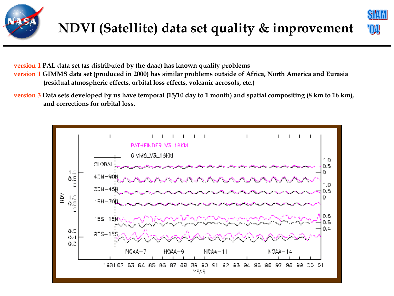



**version 3 Data sets developed by us have temporal (15/10 day to 1 month) and spatial compositing (8 km to 16 km), and corrections for orbital loss.**

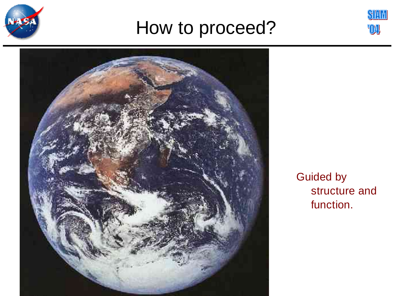

# How to proceed?



Guided by structure and function.

**SIAM** 

**D4**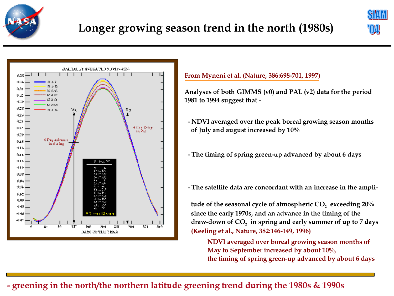





**From Myneni et al. (Nature, 386:698-701, 1997)**

**Analyses of both GIMMS (v0) and PAL (v2) data for the period 1981 to 1994 suggest that -**

**- NDVI averaged over the peak boreal growing season months of July and august increased by 10%**

**- The timing of spring green-up advanced by about 6 days**

**- The satellite data are concordant with an increase in the ampli-** 

**ND NDVI and Average over 1990 tude of the seasonal cycle of atmospheric CO<sup>2</sup> exceeding 20% since the early 1970s, and an advance in the timing of the draw-down of CO<sup>2</sup> in spring and early summer of up to 7 days (Keeling et al., Nature, 382:146-149, 1996)**

**May to September increased by about 10%, NDVI averaged over boreal growing season months of the timing of spring green-up advanced by about 6 days. May to September increased by about 10%, the timing of spring green-up advanced by about 6 days.**

### **- greening in the north/the northern latitude greening trend during the 1980s & 1990s**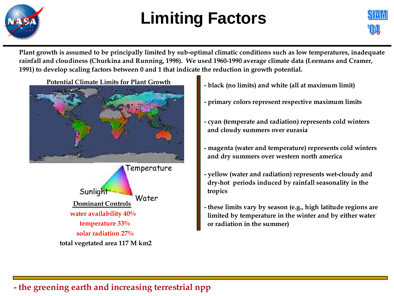

# **Limiting Factors**



**Plant growth is assumed to be principally limited by sub-optimal climatic conditions such as low temperatures, inadequate rainfall and cloudiness (Churkina and Running, 1998). We used 1960-1990 average climate data (Leemans and Cramer, 1991) to develop scaling factors between 0 and 1 that indicate the reduction in growth potential.**

**Potential Climate Limits for Plant Growth**





- **black (no limits) and white (all at maximum limit)**
- **primary colors represent respective maximum limits**
- **cyan (temperate and radiation) represents cold winters and cloudy summers over eurasia**
- **magenta (water and temperature) represents cold winters and dry summers over western north america**
- **yellow (water and radiation) represents wet-cloudy and dry-hot periods induced by rainfall seasonality in the tropics**
- **these limits vary by season (e.g., high latitude regions are limited by temperature in the winter and by either water or radiation in the summer)**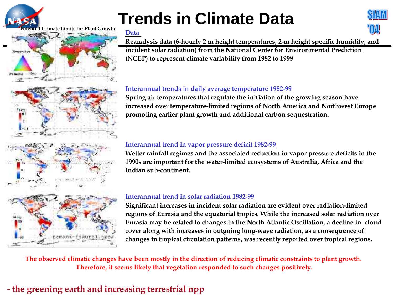

# **Trends in Climate Data**

#### **Data**

**Reanalysis data (6-hourly 2 m height temperatures, 2-m height specific humidity, and incident solar radiation) from the National Center for Environmental Prediction (NCEP) to represent climate variability from 1982 to 1999**



#### **Interannual trends in daily average temperature 1982-99**

**Spring air temperatures that regulate the initiation of the growing season have increased over temperature-limited regions of North America and Northwest Europe promoting earlier plant growth and additional carbon sequestration.**

#### **Interannual trend in vapor pressure deficit 1982-99**

**Wetter rainfall regimes and the associated reduction in vapor pressure deficits in the 1990s are important for the water-limited ecosystems of Australia, Africa and the Indian sub-continent.**

#### **Interannual trend in solar radiation 1982-99**

**Significant increases in incident solar radiation are evident over radiation-limited regions of Eurasia and the equatorial tropics. While the increased solar radiation over Eurasia may be related to changes in the North Atlantic Oscillation, a decline in cloud cover along with increases in outgoing long-wave radiation, as a consequence of changes in tropical circulation patterns, was recently reported over tropical regions.**

**The observed climatic changes have been mostly in the direction of reducing climatic constraints to plant growth. Therefore, it seems likely that vegetation responded to such changes positively.**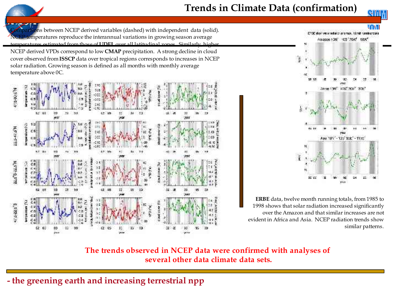### **Trends in Climate Data (confirmation)**



Ins between NCEP derived variables (dashed) with independent data (solid). NCEP temperatures reproduce the interannual variations in growing season average temperatures estimated from those of **UDEL** over all latitudinal zones. Similarly, higher

NCEP derived VPDs correspond to low **CMAP** precipitation. A strong decline in cloud cover observed from **ISSCP** data over tropical regions corresponds to increases in NCEP solar radiation. Growing season is defined as all months with monthly average temperature above 0C.





**ERBE** data, twelve month running totals, from 1985 to 1998 shows that solar radiation increased significantly over the Amazon and that similar increases are not evident in Africa and Asia. NCEP radiation trends show similar patterns.

**The trends observed in NCEP data were confirmed with analyses of several other data climate data sets.**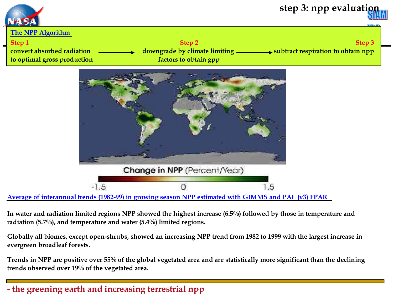

## **step 3: npp evaluation**



**In water and radiation limited regions NPP showed the highest increase (6.5%) followed by those in temperature and radiation (5.7%), and temperature and water (5.4%) limited regions.**

**Globally all biomes, except open-shrubs, showed an increasing NPP trend from 1982 to 1999 with the largest increase in evergreen broadleaf forests.**

**Trends in NPP are positive over 55% of the global vegetated area and are statistically more significant than the declining trends observed over 19% of the vegetated area.**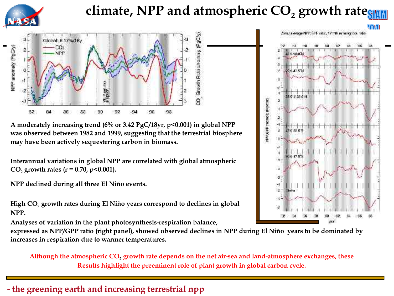

## **climate, NPP and atmospheric CO<sub>2</sub> growth rate**





**A moderately increasing trend (6% or 3.42 PgC/18yr, p<0.001) in global NPP was observed between 1982 and 1999, suggesting that the terrestrial biosphere may have been actively sequestering carbon in biomass.**

**Interannual variations in global NPP are correlated with global atmospheric**  $CO_2$  growth rates (r = 0.70, p<0.001).

**NPP declined during all three El Niño events.**

**High CO<sup>2</sup> growth rates during El Niño years correspond to declines in global NPP.** 

**Analyses of variation in the plant photosynthesis-respiration balance,** 

**expressed as NPP/GPP ratio (right panel), showed observed declines in NPP during El Niño years to be dominated by increases in respiration due to warmer temperatures.**

**Although the atmospheric CO<sup>2</sup> growth rate depends on the net air-sea and land-atmosphere exchanges, these Results highlight the preeminent role of plant growth in global carbon cycle.**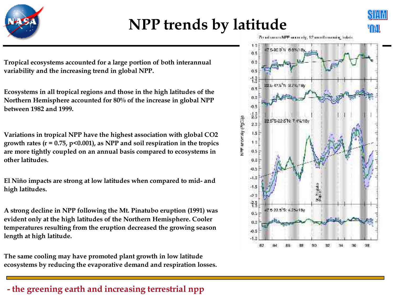

# **NPP trends by latitude**



**Tropical ecosystems accounted for a large portion of both interannual variability and the increasing trend in global NPP.**

**Ecosystems in all tropical regions and those in the high latitudes of the Northern Hemisphere accounted for 80% of the increase in global NPP between 1982 and 1999.** 

**Variations in tropical NPP have the highest association with global CO2 growth rates (r = 0.75, p<0.001), as NPP and soil respiration in the tropics are more tightly coupled on an annual basis compared to ecosystems in other latitudes.**

**El Niño impacts are strong at low latitudes when compared to mid- and high latitudes.** 

**A strong decline in NPP following the Mt. Pinatubo eruption (1991) was evident only at the high latitudes of the Northern Hemisphere. Cooler temperatures resulting from the eruption decreased the growing season length at high latitude.**

**The same cooling may have promoted plant growth in low latitude ecosystems by reducing the evaporative demand and respiration losses.**



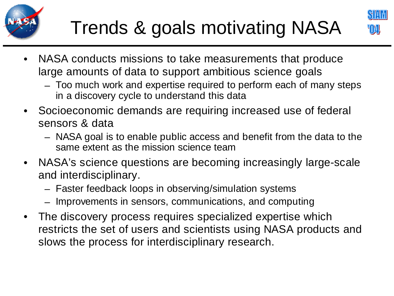



- NASA conducts missions to take measurements that produce large amounts of data to support ambitious science goals
	- Too much work and expertise required to perform each of many steps in a discovery cycle to understand this data
- Socioeconomic demands are requiring increased use of federal sensors & data
	- NASA goal is to enable public access and benefit from the data to the same extent as the mission science team
- NASA's science questions are becoming increasingly large-scale and interdisciplinary.
	- Faster feedback loops in observing/simulation systems
	- Improvements in sensors, communications, and computing
- The discovery process requires specialized expertise which restricts the set of users and scientists using NASA products and slows the process for interdisciplinary research.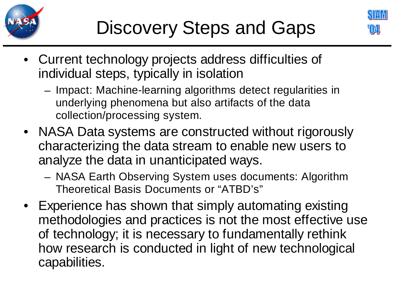



- Current technology projects address difficulties of individual steps, typically in isolation
	- Impact: Machine-learning algorithms detect regularities in underlying phenomena but also artifacts of the data collection/processing system.
- NASA Data systems are constructed without rigorously characterizing the data stream to enable new users to analyze the data in unanticipated ways.
	- NASA Earth Observing System uses documents: Algorithm Theoretical Basis Documents or "ATBD's"
- Experience has shown that simply automating existing methodologies and practices is not the most effective use of technology; it is necessary to fundamentally rethink how research is conducted in light of new technological capabilities.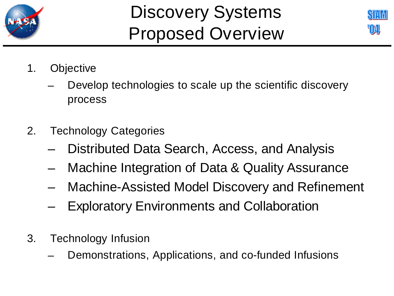



- 1. Objective
	- Develop technologies to scale up the scientific discovery process
- 2. Technology Categories
	- Distributed Data Search, Access, and Analysis
	- Machine Integration of Data & Quality Assurance
	- Machine-Assisted Model Discovery and Refinement
	- Exploratory Environments and Collaboration
- 3. Technology Infusion
	- Demonstrations, Applications, and co-funded Infusions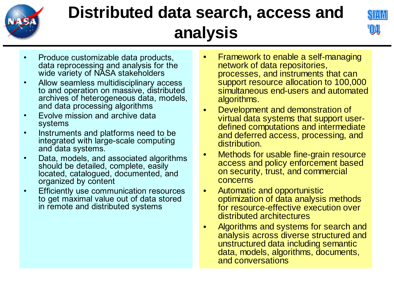

# **Distributed data search, access and analysis**



- Produce customizable data products, data reprocessing and analysis for the wide variety of NASA stakeholders
- Allow seamless multidisciplinary access to and operation on massive, distributed archives of heterogeneous data, models, and data processing algorithms
- Evolve mission and archive data systems
- Instruments and platforms need to be integrated with large-scale computing and data systems.
- Data, models, and associated algorithms should be detailed, complete, easily located, catalogued, documented, and organized by content
- Efficiently use communication resources to get maximal value out of data stored in remote and distributed systems
- Framework to enable a self-managing network of data repositories, processes, and instruments that can support resource allocation to 100,000 simultaneous end-users and automated algorithms.
- Development and demonstration of virtual data systems that support userdefined computations and intermediate and deferred access, processing, and distribution.
- Methods for usable fine-grain resource access and policy enforcement based on security, trust, and commercial concerns
- Automatic and opportunistic optimization of data analysis methods for resource-effective execution over distributed architectures
- Algorithms and systems for search and analysis across diverse structured and unstructured data including semantic data, models, algorithms, documents, and conversations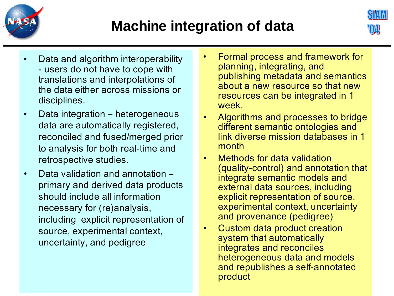



- Data and algorithm interoperability - users do not have to cope with translations and interpolations of the data either across missions or disciplines.
- Data integration heterogeneous data are automatically registered, reconciled and fused/merged prior to analysis for both real-time and retrospective studies.
- Data validation and annotation primary and derived data products should include all information necessary for (re)analysis, including explicit representation of source, experimental context, uncertainty, and pedigree
- Formal process and framework for planning, integrating, and publishing metadata and semantics about a new resource so that new resources can be integrated in 1 week.
- Algorithms and processes to bridge different semantic ontologies and link diverse mission databases in 1 month
- Methods for data validation (quality-control) and annotation that integrate semantic models and external data sources, including explicit representation of source, experimental context, uncertainty and provenance (pedigree)
- Custom data product creation system that automatically integrates and reconciles heterogeneous data and models and republishes a self-annotated product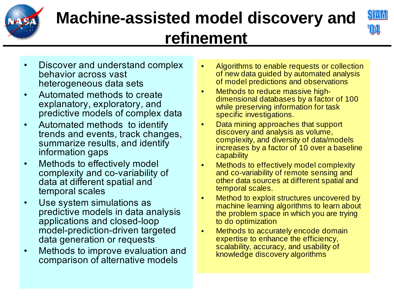

# **Machine-assisted model discovery and refinement**

- Discover and understand complex behavior across vast heterogeneous data sets
- Automated methods to create explanatory, exploratory, and predictive models of complex data
- Automated methods to identify trends and events, track changes, summarize results, and identify information gaps
- Methods to effectively model complexity and co-variability of data at different spatial and temporal scales
- Use system simulations as predictive models in data analysis applications and closed-loop model-prediction-driven targeted data generation or requests
- Methods to improve evaluation and comparison of alternative models

• Algorithms to enable requests or collection of new data guided by automated analysis of model predictions and observations

SWM

- Methods to reduce massive highdimensional databases by a factor of 100 while preserving information for task specific investigations.
- Data mining approaches that support discovery and analysis as volume, complexity, and diversity of data/models increases by a factor of 10 over a baseline capability
- Methods to effectively model complexity and co-variability of remote sensing and other data sources at different spatial and temporal scales.
- Method to exploit structures uncovered by machine learning algorithms to learn about the problem space in which you are trying to do optimization
- Methods to accurately encode domain expertise to enhance the efficiency, scalability, accuracy, and usability of knowledge discovery algorithms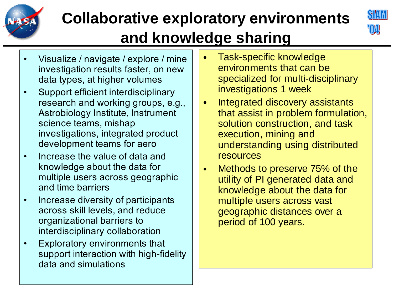

# **Collaborative exploratory environments and knowledge sharing**

SINM

- Visualize / navigate / explore / mine investigation results faster, on new data types, at higher volumes
- Support efficient interdisciplinary research and working groups, e.g., Astrobiology Institute, Instrument science teams, mishap investigations, integrated product development teams for aero
- Increase the value of data and knowledge about the data for multiple users across geographic and time barriers
- Increase diversity of participants across skill levels, and reduce organizational barriers to interdisciplinary collaboration
- Exploratory environments that support interaction with high-fidelity data and simulations
- Task-specific knowledge environments that can be specialized for multi-disciplinary investigations 1 week
- Integrated discovery assistants that assist in problem formulation, solution construction, and task execution, mining and understanding using distributed resources
- Methods to preserve 75% of the utility of PI generated data and knowledge about the data for multiple users across vast geographic distances over a period of 100 years.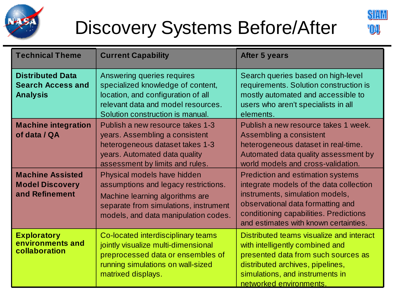

# Discovery Systems Before/After



| <b>Technical Theme</b>                                                 | <b>Current Capability</b>                                                                                                                                                               | After 5 years                                                                                                                                                                                                                                  |
|------------------------------------------------------------------------|-----------------------------------------------------------------------------------------------------------------------------------------------------------------------------------------|------------------------------------------------------------------------------------------------------------------------------------------------------------------------------------------------------------------------------------------------|
| <b>Distributed Data</b><br><b>Search Access and</b><br><b>Analysis</b> | Answering queries requires<br>specialized knowledge of content,<br>location, and configuration of all<br>relevant data and model resources.<br>Solution construction is manual.         | Search queries based on high-level<br>requirements. Solution construction is<br>mostly automated and accessible to<br>users who aren't specialists in all<br>elements.                                                                         |
| <b>Machine integration</b><br>of data / QA                             | Publish a new resource takes 1-3<br>years. Assembling a consistent<br>heterogeneous dataset takes 1-3<br>years. Automated data quality<br>assessment by limits and rules.               | Publish a new resource takes 1 week.<br>Assembling a consistent<br>heterogeneous dataset in real-time.<br>Automated data quality assessment by<br>world models and cross-validation.                                                           |
| <b>Machine Assisted</b><br><b>Model Discovery</b><br>and Refinement    | Physical models have hidden<br>assumptions and legacy restrictions.<br>Machine learning algorithms are<br>separate from simulations, instrument<br>models, and data manipulation codes. | <b>Prediction and estimation systems</b><br>integrate models of the data collection<br>instruments, simulation models,<br>observational data formatting and<br>conditioning capabilities. Predictions<br>and estimates with known certainties. |
| <b>Exploratory</b><br>environments and<br>collaboration                | Co-located interdisciplinary teams<br>jointly visualize multi-dimensional<br>preprocessed data or ensembles of<br>running simulations on wall-sized<br>matrixed displays.               | Distributed teams visualize and interact<br>with intelligently combined and<br>presented data from such sources as<br>distributed archives, pipelines,<br>simulations, and instruments in<br>networked environments.                           |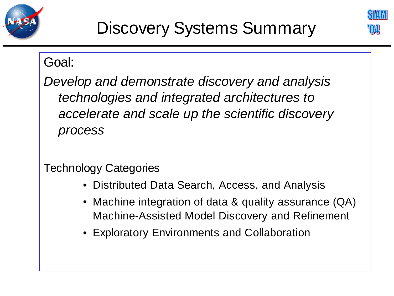



### Goal:

Develop and demonstrate discovery and analysis technologies and integrated architectures to accelerate and scale up the scientific discovery process

Technology Categories

- Distributed Data Search, Access, and Analysis
- Machine integration of data & quality assurance (QA) Machine-Assisted Model Discovery and Refinement
- Exploratory Environments and Collaboration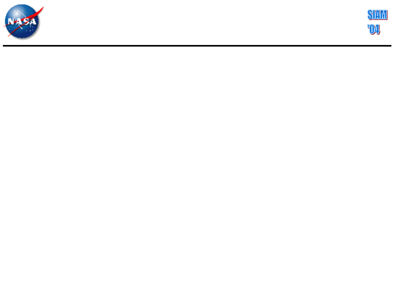